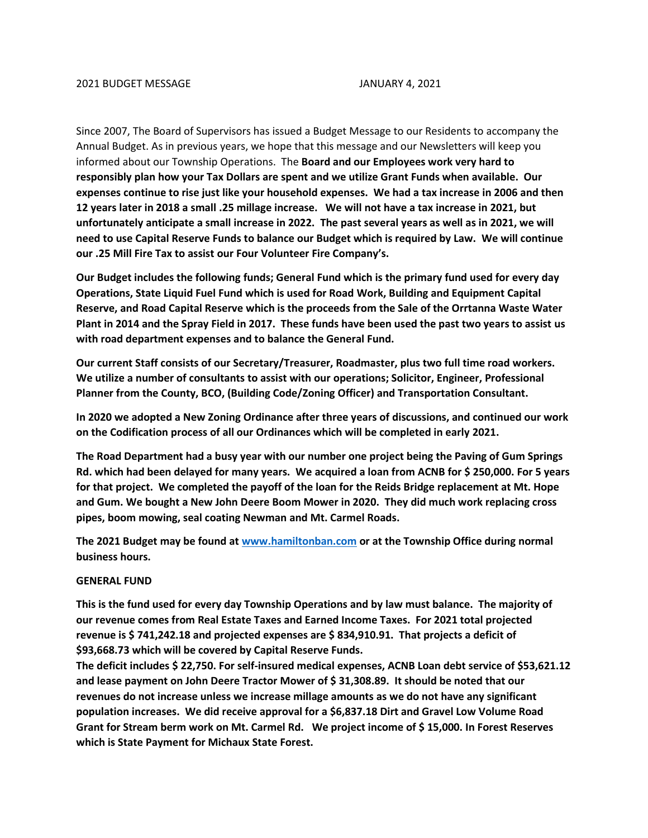Since 2007, The Board of Supervisors has issued a Budget Message to our Residents to accompany the Annual Budget. As in previous years, we hope that this message and our Newsletters will keep you informed about our Township Operations. The **Board and our Employees work very hard to responsibly plan how your Tax Dollars are spent and we utilize Grant Funds when available. Our expenses continue to rise just like your household expenses. We had a tax increase in 2006 and then 12 years later in 2018 a small .25 millage increase. We will not have a tax increase in 2021, but unfortunately anticipate a small increase in 2022. The past several years as well as in 2021, we will need to use Capital Reserve Funds to balance our Budget which is required by Law. We will continue our .25 Mill Fire Tax to assist our Four Volunteer Fire Company's.**

**Our Budget includes the following funds; General Fund which is the primary fund used for every day Operations, State Liquid Fuel Fund which is used for Road Work, Building and Equipment Capital Reserve, and Road Capital Reserve which is the proceeds from the Sale of the Orrtanna Waste Water Plant in 2014 and the Spray Field in 2017. These funds have been used the past two years to assist us with road department expenses and to balance the General Fund.**

**Our current Staff consists of our Secretary/Treasurer, Roadmaster, plus two full time road workers. We utilize a number of consultants to assist with our operations; Solicitor, Engineer, Professional Planner from the County, BCO, (Building Code/Zoning Officer) and Transportation Consultant.**

**In 2020 we adopted a New Zoning Ordinance after three years of discussions, and continued our work on the Codification process of all our Ordinances which will be completed in early 2021.**

**The Road Department had a busy year with our number one project being the Paving of Gum Springs Rd. which had been delayed for many years. We acquired a loan from ACNB for \$ 250,000. For 5 years for that project. We completed the payoff of the loan for the Reids Bridge replacement at Mt. Hope and Gum. We bought a New John Deere Boom Mower in 2020. They did much work replacing cross pipes, boom mowing, seal coating Newman and Mt. Carmel Roads.**

**The 2021 Budget may be found at [www.hamiltonban.com](http://www.hamiltonban.com/) or at the Township Office during normal business hours.** 

## **GENERAL FUND**

**This is the fund used for every day Township Operations and by law must balance. The majority of our revenue comes from Real Estate Taxes and Earned Income Taxes. For 2021 total projected revenue is \$ 741,242.18 and projected expenses are \$ 834,910.91. That projects a deficit of \$93,668.73 which will be covered by Capital Reserve Funds.** 

**The deficit includes \$ 22,750. For self-insured medical expenses, ACNB Loan debt service of \$53,621.12 and lease payment on John Deere Tractor Mower of \$ 31,308.89. It should be noted that our revenues do not increase unless we increase millage amounts as we do not have any significant population increases. We did receive approval for a \$6,837.18 Dirt and Gravel Low Volume Road Grant for Stream berm work on Mt. Carmel Rd. We project income of \$ 15,000. In Forest Reserves which is State Payment for Michaux State Forest.**